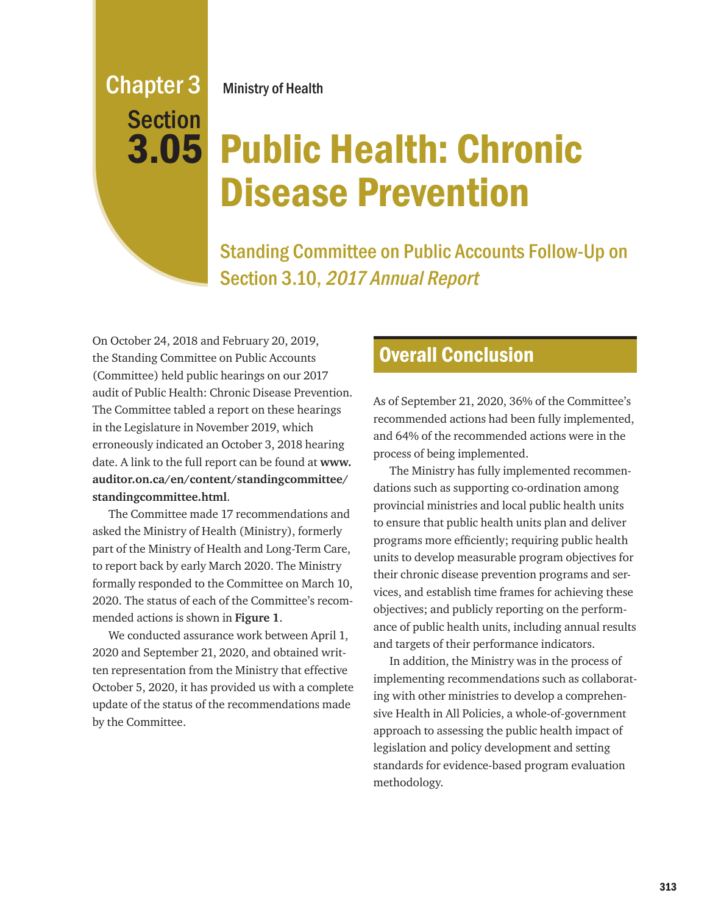## Chapter 3 Section 3.05

Ministry of Health

# Public Health: Chronic Disease Prevention

Standing Committee on Public Accounts Follow-Up on Section 3.10, 2017 Annual Report

On October 24, 2018 and February 20, 2019, the Standing Committee on Public Accounts (Committee) held public hearings on our 2017 audit of Public Health: Chronic Disease Prevention. The Committee tabled a report on these hearings in the Legislature in November 2019, which erroneously indicated an October 3, 2018 hearing date. A link to the full report can be found at **www. auditor.on.ca/en/content/standingcommittee/ standingcommittee.html**.

The Committee made 17 recommendations and asked the Ministry of Health (Ministry), formerly part of the Ministry of Health and Long-Term Care, to report back by early March 2020. The Ministry formally responded to the Committee on March 10, 2020. The status of each of the Committee's recommended actions is shown in **Figure 1**.

We conducted assurance work between April 1, 2020 and September 21, 2020, and obtained written representation from the Ministry that effective October 5, 2020, it has provided us with a complete update of the status of the recommendations made by the Committee.

### Overall Conclusion

As of September 21, 2020, 36% of the Committee's recommended actions had been fully implemented, and 64% of the recommended actions were in the process of being implemented.

The Ministry has fully implemented recommendations such as supporting co-ordination among provincial ministries and local public health units to ensure that public health units plan and deliver programs more efficiently; requiring public health units to develop measurable program objectives for their chronic disease prevention programs and services, and establish time frames for achieving these objectives; and publicly reporting on the performance of public health units, including annual results and targets of their performance indicators.

In addition, the Ministry was in the process of implementing recommendations such as collaborating with other ministries to develop a comprehensive Health in All Policies, a whole-of-government approach to assessing the public health impact of legislation and policy development and setting standards for evidence-based program evaluation methodology.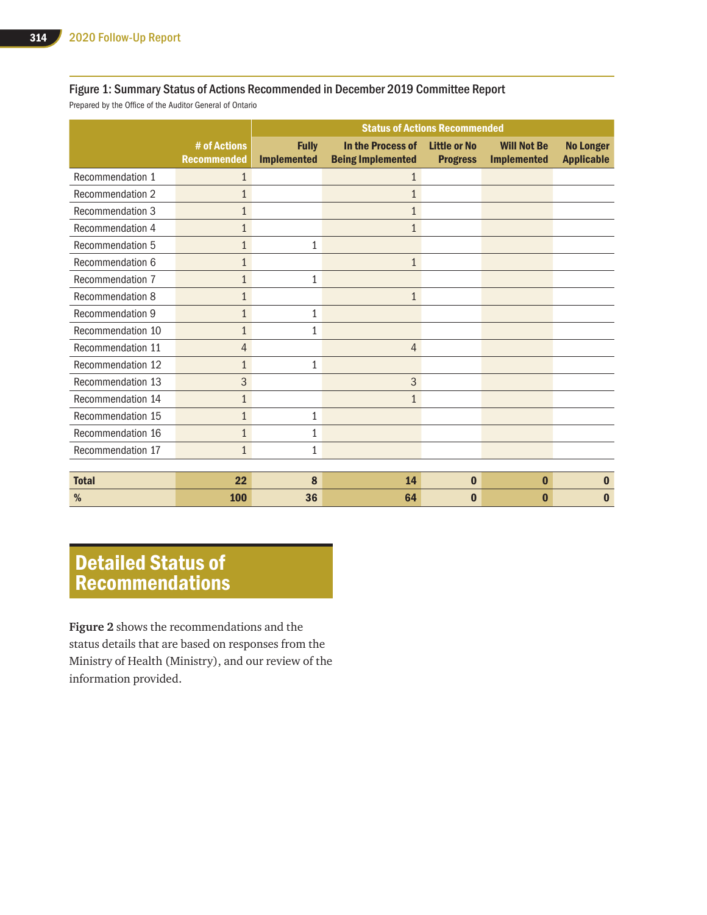#### Figure 1: Summary Status of Actions Recommended in December 2019 Committee Report

Prepared by the Office of the Auditor General of Ontario

|                   |                                    | <b>Status of Actions Recommended</b> |                                               |                                        |                                          |                                       |
|-------------------|------------------------------------|--------------------------------------|-----------------------------------------------|----------------------------------------|------------------------------------------|---------------------------------------|
|                   | # of Actions<br><b>Recommended</b> | <b>Fully</b><br><b>Implemented</b>   | In the Process of<br><b>Being Implemented</b> | <b>Little or No</b><br><b>Progress</b> | <b>Will Not Be</b><br><b>Implemented</b> | <b>No Longer</b><br><b>Applicable</b> |
| Recommendation 1  | 1                                  |                                      | 1                                             |                                        |                                          |                                       |
| Recommendation 2  | $\mathbf{1}$                       |                                      | $\mathbf{1}$                                  |                                        |                                          |                                       |
| Recommendation 3  | $\mathbf{1}$                       |                                      | $\mathbf{1}$                                  |                                        |                                          |                                       |
| Recommendation 4  | $\mathbf{1}$                       |                                      | $\mathbf{1}$                                  |                                        |                                          |                                       |
| Recommendation 5  | $\mathbf{1}$                       | 1                                    |                                               |                                        |                                          |                                       |
| Recommendation 6  | $\mathbf{1}$                       |                                      | $\mathbf{1}$                                  |                                        |                                          |                                       |
| Recommendation 7  | $\mathbf{1}$                       | 1                                    |                                               |                                        |                                          |                                       |
| Recommendation 8  | $\mathbf{1}$                       |                                      | $\mathbf{1}$                                  |                                        |                                          |                                       |
| Recommendation 9  | $\mathbf{1}$                       | 1                                    |                                               |                                        |                                          |                                       |
| Recommendation 10 | $\mathbf{1}$                       | 1                                    |                                               |                                        |                                          |                                       |
| Recommendation 11 | 4                                  |                                      | $\overline{4}$                                |                                        |                                          |                                       |
| Recommendation 12 | $\mathbf{1}$                       | 1                                    |                                               |                                        |                                          |                                       |
| Recommendation 13 | 3                                  |                                      | 3                                             |                                        |                                          |                                       |
| Recommendation 14 | $\mathbf{1}$                       |                                      | $\mathbf{1}$                                  |                                        |                                          |                                       |
| Recommendation 15 | $\mathbf{1}$                       | 1                                    |                                               |                                        |                                          |                                       |
| Recommendation 16 | $\mathbf{1}$                       | 1                                    |                                               |                                        |                                          |                                       |
| Recommendation 17 | $\mathbf{1}$                       | $\mathbf{1}$                         |                                               |                                        |                                          |                                       |
|                   |                                    |                                      |                                               |                                        |                                          |                                       |
| <b>Total</b>      | 22                                 | 8                                    | 14                                            | $\bf{0}$                               | $\bf{0}$                                 | $\bf{0}$                              |
| %                 | 100                                | 36                                   | 64                                            | $\bf{0}$                               | $\mathbf 0$                              | O                                     |

## Detailed Status of Recommendations

**Figure 2** shows the recommendations and the status details that are based on responses from the Ministry of Health (Ministry), and our review of the information provided.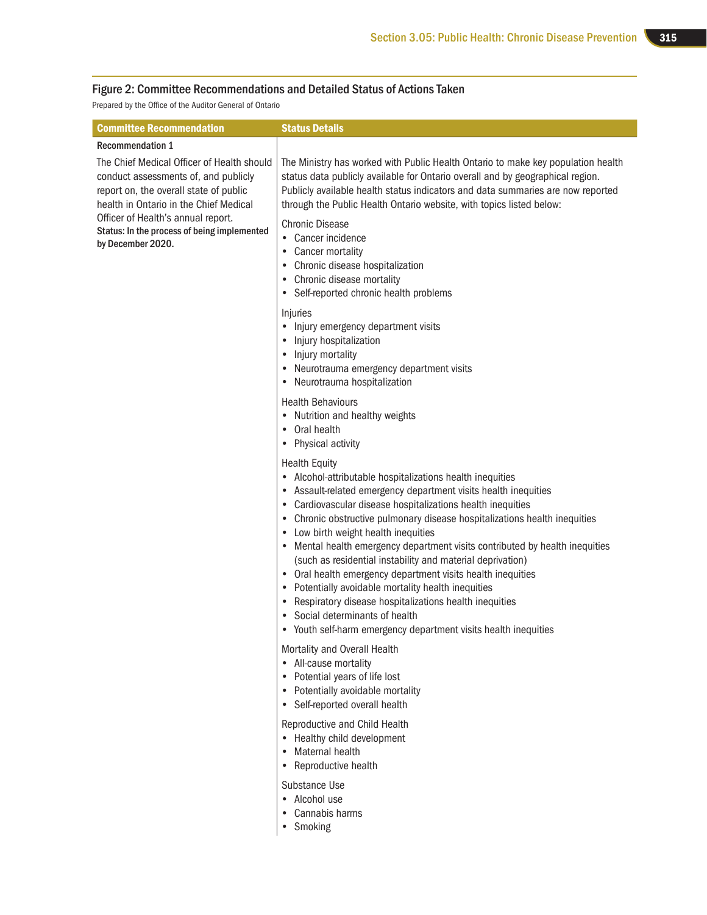#### Figure 2: Committee Recommendations and Detailed Status of Actions Taken

Prepared by the Office of the Auditor General of Ontario

| <b>Committee Recommendation</b>                                                                                                                                        | <b>Status Details</b>                                                                                                                                                                                                                                                                                                                                                                                                                                                                                                                                                                                                                                                                                                                                                                                                     |
|------------------------------------------------------------------------------------------------------------------------------------------------------------------------|---------------------------------------------------------------------------------------------------------------------------------------------------------------------------------------------------------------------------------------------------------------------------------------------------------------------------------------------------------------------------------------------------------------------------------------------------------------------------------------------------------------------------------------------------------------------------------------------------------------------------------------------------------------------------------------------------------------------------------------------------------------------------------------------------------------------------|
| <b>Recommendation 1</b>                                                                                                                                                |                                                                                                                                                                                                                                                                                                                                                                                                                                                                                                                                                                                                                                                                                                                                                                                                                           |
| The Chief Medical Officer of Health should<br>conduct assessments of, and publicly<br>report on, the overall state of public<br>health in Ontario in the Chief Medical | The Ministry has worked with Public Health Ontario to make key population health<br>status data publicly available for Ontario overall and by geographical region.<br>Publicly available health status indicators and data summaries are now reported<br>through the Public Health Ontario website, with topics listed below:                                                                                                                                                                                                                                                                                                                                                                                                                                                                                             |
| Officer of Health's annual report.<br>Status: In the process of being implemented<br>by December 2020.                                                                 | <b>Chronic Disease</b><br>• Cancer incidence<br>Cancer mortality<br>٠<br>Chronic disease hospitalization<br>٠<br>Chronic disease mortality<br>٠<br>Self-reported chronic health problems<br>$\bullet$                                                                                                                                                                                                                                                                                                                                                                                                                                                                                                                                                                                                                     |
|                                                                                                                                                                        | Injuries<br>Injury emergency department visits<br>Injury hospitalization<br>Injury mortality<br>٠<br>Neurotrauma emergency department visits<br>Neurotrauma hospitalization<br>٠                                                                                                                                                                                                                                                                                                                                                                                                                                                                                                                                                                                                                                          |
|                                                                                                                                                                        | <b>Health Behaviours</b><br>• Nutrition and healthy weights<br>Oral health<br>• Physical activity                                                                                                                                                                                                                                                                                                                                                                                                                                                                                                                                                                                                                                                                                                                         |
|                                                                                                                                                                        | <b>Health Equity</b><br>Alcohol-attributable hospitalizations health inequities<br>٠<br>Assault-related emergency department visits health inequities<br>٠<br>Cardiovascular disease hospitalizations health inequities<br>٠<br>Chronic obstructive pulmonary disease hospitalizations health inequities<br>٠<br>Low birth weight health inequities<br>٠<br>Mental health emergency department visits contributed by health inequities<br>(such as residential instability and material deprivation)<br>Oral health emergency department visits health inequities<br>Potentially avoidable mortality health inequities<br>$\bullet$<br>Respiratory disease hospitalizations health inequities<br>$\bullet$<br>Social determinants of health<br>Youth self-harm emergency department visits health inequities<br>$\bullet$ |
|                                                                                                                                                                        | Mortality and Overall Health<br>All-cause mortality<br>$\bullet$<br>Potential years of life lost<br>$\bullet$<br>Potentially avoidable mortality<br>$\bullet$<br>Self-reported overall health<br>$\bullet$                                                                                                                                                                                                                                                                                                                                                                                                                                                                                                                                                                                                                |
|                                                                                                                                                                        | Reproductive and Child Health<br>Healthy child development<br>$\bullet$<br>Maternal health<br>$\bullet$<br>Reproductive health<br>$\bullet$                                                                                                                                                                                                                                                                                                                                                                                                                                                                                                                                                                                                                                                                               |
|                                                                                                                                                                        | Substance Use<br>• Alcohol use                                                                                                                                                                                                                                                                                                                                                                                                                                                                                                                                                                                                                                                                                                                                                                                            |

- Cannabis harms
- Smoking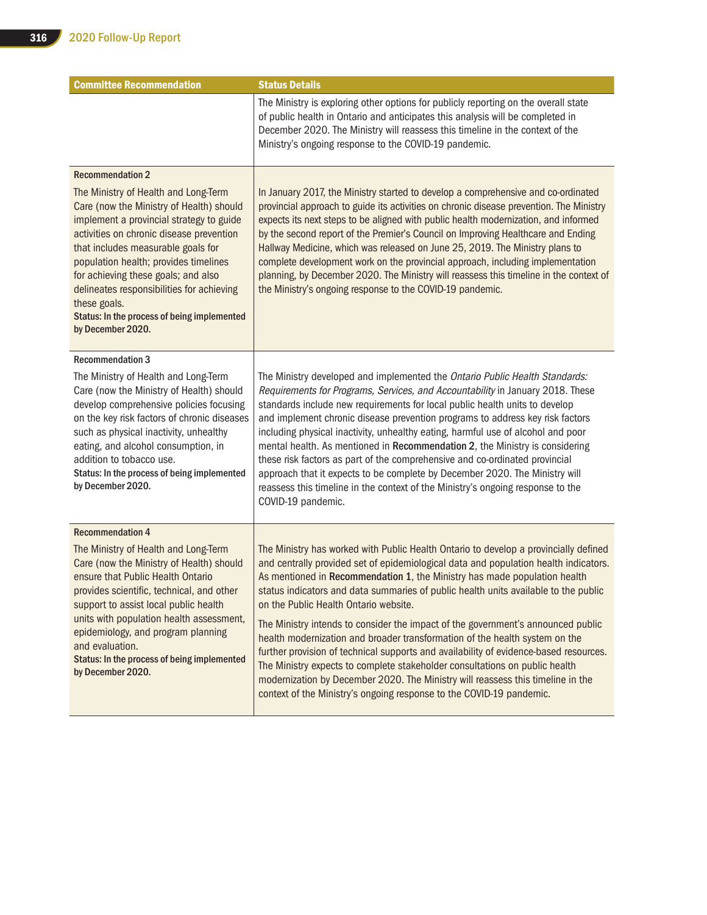| <b>Committee Recommendation</b>                                                                                                                                                                                                                                                                                                                                                                                                 | <b>Status Details</b>                                                                                                                                                                                                                                                                                                                                                                                                                                                                                                                                                                                                                                                                                                                                                                                                                                                                           |
|---------------------------------------------------------------------------------------------------------------------------------------------------------------------------------------------------------------------------------------------------------------------------------------------------------------------------------------------------------------------------------------------------------------------------------|-------------------------------------------------------------------------------------------------------------------------------------------------------------------------------------------------------------------------------------------------------------------------------------------------------------------------------------------------------------------------------------------------------------------------------------------------------------------------------------------------------------------------------------------------------------------------------------------------------------------------------------------------------------------------------------------------------------------------------------------------------------------------------------------------------------------------------------------------------------------------------------------------|
|                                                                                                                                                                                                                                                                                                                                                                                                                                 | The Ministry is exploring other options for publicly reporting on the overall state<br>of public health in Ontario and anticipates this analysis will be completed in<br>December 2020. The Ministry will reassess this timeline in the context of the<br>Ministry's ongoing response to the COVID-19 pandemic.                                                                                                                                                                                                                                                                                                                                                                                                                                                                                                                                                                                 |
| <b>Recommendation 2</b>                                                                                                                                                                                                                                                                                                                                                                                                         |                                                                                                                                                                                                                                                                                                                                                                                                                                                                                                                                                                                                                                                                                                                                                                                                                                                                                                 |
| The Ministry of Health and Long-Term<br>Care (now the Ministry of Health) should<br>implement a provincial strategy to guide<br>activities on chronic disease prevention<br>that includes measurable goals for<br>population health; provides timelines<br>for achieving these goals; and also<br>delineates responsibilities for achieving<br>these goals.<br>Status: In the process of being implemented<br>by December 2020. | In January 2017, the Ministry started to develop a comprehensive and co-ordinated<br>provincial approach to guide its activities on chronic disease prevention. The Ministry<br>expects its next steps to be aligned with public health modernization, and informed<br>by the second report of the Premier's Council on Improving Healthcare and Ending<br>Hallway Medicine, which was released on June 25, 2019. The Ministry plans to<br>complete development work on the provincial approach, including implementation<br>planning, by December 2020. The Ministry will reassess this timeline in the context of<br>the Ministry's ongoing response to the COVID-19 pandemic.                                                                                                                                                                                                                |
| <b>Recommendation 3</b>                                                                                                                                                                                                                                                                                                                                                                                                         |                                                                                                                                                                                                                                                                                                                                                                                                                                                                                                                                                                                                                                                                                                                                                                                                                                                                                                 |
| The Ministry of Health and Long-Term<br>Care (now the Ministry of Health) should<br>develop comprehensive policies focusing<br>on the key risk factors of chronic diseases<br>such as physical inactivity, unhealthy<br>eating, and alcohol consumption, in<br>addition to tobacco use.<br>Status: In the process of being implemented<br>by December 2020.                                                                     | The Ministry developed and implemented the Ontario Public Health Standards:<br>Requirements for Programs, Services, and Accountability in January 2018. These<br>standards include new requirements for local public health units to develop<br>and implement chronic disease prevention programs to address key risk factors<br>including physical inactivity, unhealthy eating, harmful use of alcohol and poor<br>mental health. As mentioned in Recommendation 2, the Ministry is considering<br>these risk factors as part of the comprehensive and co-ordinated provincial<br>approach that it expects to be complete by December 2020. The Ministry will<br>reassess this timeline in the context of the Ministry's ongoing response to the<br>COVID-19 pandemic.                                                                                                                        |
| <b>Recommendation 4</b>                                                                                                                                                                                                                                                                                                                                                                                                         |                                                                                                                                                                                                                                                                                                                                                                                                                                                                                                                                                                                                                                                                                                                                                                                                                                                                                                 |
| The Ministry of Health and Long-Term<br>Care (now the Ministry of Health) should<br>ensure that Public Health Ontario<br>provides scientific, technical, and other<br>support to assist local public health<br>units with population health assessment,<br>epidemiology, and program planning<br>and evaluation.<br>Status: In the process of being implemented<br>by December 2020.                                            | The Ministry has worked with Public Health Ontario to develop a provincially defined<br>and centrally provided set of epidemiological data and population health indicators.<br>As mentioned in Recommendation 1, the Ministry has made population health<br>status indicators and data summaries of public health units available to the public<br>on the Public Health Ontario website.<br>The Ministry intends to consider the impact of the government's announced public<br>health modernization and broader transformation of the health system on the<br>further provision of technical supports and availability of evidence-based resources.<br>The Ministry expects to complete stakeholder consultations on public health<br>modernization by December 2020. The Ministry will reassess this timeline in the<br>context of the Ministry's ongoing response to the COVID-19 pandemic. |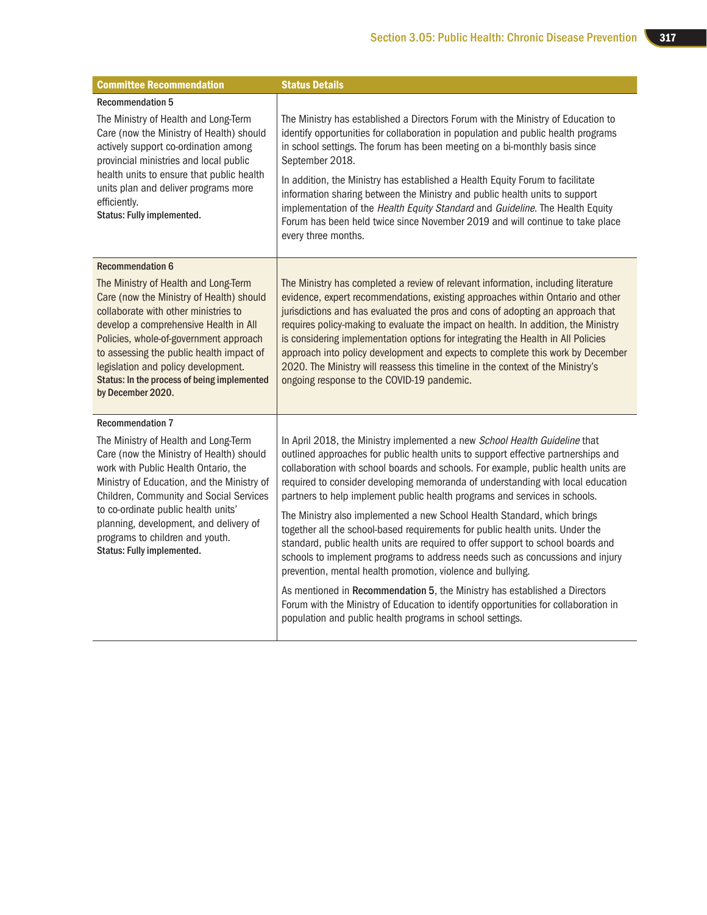| <b>Committee Recommendation</b>                                                                                                                                                                                                                                                                                                                                     | <b>Status Details</b>                                                                                                                                                                                                                                                                                                                                                                                                                                                                                                                                                                                                                                                   |
|---------------------------------------------------------------------------------------------------------------------------------------------------------------------------------------------------------------------------------------------------------------------------------------------------------------------------------------------------------------------|-------------------------------------------------------------------------------------------------------------------------------------------------------------------------------------------------------------------------------------------------------------------------------------------------------------------------------------------------------------------------------------------------------------------------------------------------------------------------------------------------------------------------------------------------------------------------------------------------------------------------------------------------------------------------|
| <b>Recommendation 5</b>                                                                                                                                                                                                                                                                                                                                             |                                                                                                                                                                                                                                                                                                                                                                                                                                                                                                                                                                                                                                                                         |
| The Ministry of Health and Long-Term<br>Care (now the Ministry of Health) should<br>actively support co-ordination among<br>provincial ministries and local public<br>health units to ensure that public health<br>units plan and deliver programs more<br>efficiently.<br>Status: Fully implemented.                                                               | The Ministry has established a Directors Forum with the Ministry of Education to<br>identify opportunities for collaboration in population and public health programs<br>in school settings. The forum has been meeting on a bi-monthly basis since<br>September 2018.<br>In addition, the Ministry has established a Health Equity Forum to facilitate<br>information sharing between the Ministry and public health units to support<br>implementation of the Health Equity Standard and Guideline. The Health Equity<br>Forum has been held twice since November 2019 and will continue to take place<br>every three months.                                         |
| <b>Recommendation 6</b>                                                                                                                                                                                                                                                                                                                                             |                                                                                                                                                                                                                                                                                                                                                                                                                                                                                                                                                                                                                                                                         |
| The Ministry of Health and Long-Term<br>Care (now the Ministry of Health) should<br>collaborate with other ministries to<br>develop a comprehensive Health in All<br>Policies, whole-of-government approach<br>to assessing the public health impact of<br>legislation and policy development.<br>Status: In the process of being implemented<br>by December 2020.  | The Ministry has completed a review of relevant information, including literature<br>evidence, expert recommendations, existing approaches within Ontario and other<br>jurisdictions and has evaluated the pros and cons of adopting an approach that<br>requires policy-making to evaluate the impact on health. In addition, the Ministry<br>is considering implementation options for integrating the Health in All Policies<br>approach into policy development and expects to complete this work by December<br>2020. The Ministry will reassess this timeline in the context of the Ministry's<br>ongoing response to the COVID-19 pandemic.                      |
| <b>Recommendation 7</b>                                                                                                                                                                                                                                                                                                                                             |                                                                                                                                                                                                                                                                                                                                                                                                                                                                                                                                                                                                                                                                         |
| The Ministry of Health and Long-Term<br>Care (now the Ministry of Health) should<br>work with Public Health Ontario, the<br>Ministry of Education, and the Ministry of<br>Children, Community and Social Services<br>to co-ordinate public health units'<br>planning, development, and delivery of<br>programs to children and youth.<br>Status: Fully implemented. | In April 2018, the Ministry implemented a new School Health Guideline that<br>outlined approaches for public health units to support effective partnerships and<br>collaboration with school boards and schools. For example, public health units are<br>required to consider developing memoranda of understanding with local education<br>partners to help implement public health programs and services in schools.<br>The Ministry also implemented a new School Health Standard, which brings<br>together all the school-based requirements for public health units. Under the<br>standard, public health units are required to offer support to school boards and |
|                                                                                                                                                                                                                                                                                                                                                                     | schools to implement programs to address needs such as concussions and injury<br>prevention, mental health promotion, violence and bullying.                                                                                                                                                                                                                                                                                                                                                                                                                                                                                                                            |
|                                                                                                                                                                                                                                                                                                                                                                     | As mentioned in Recommendation 5, the Ministry has established a Directors<br>Forum with the Ministry of Education to identify opportunities for collaboration in<br>population and public health programs in school settings.                                                                                                                                                                                                                                                                                                                                                                                                                                          |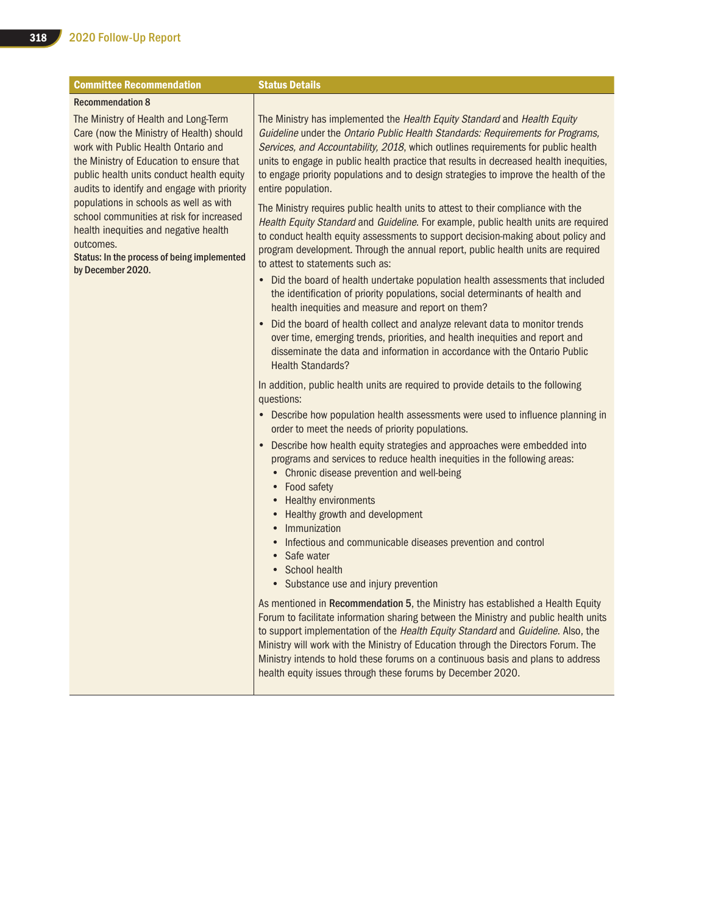| <b>Committee Recommendation</b>                                                                                                                                                                                                                                                                               | <b>Status Details</b>                                                                                                                                                                                                                                                                                                                                                                                                                                                                                                                                   |
|---------------------------------------------------------------------------------------------------------------------------------------------------------------------------------------------------------------------------------------------------------------------------------------------------------------|---------------------------------------------------------------------------------------------------------------------------------------------------------------------------------------------------------------------------------------------------------------------------------------------------------------------------------------------------------------------------------------------------------------------------------------------------------------------------------------------------------------------------------------------------------|
| <b>Recommendation 8</b><br>The Ministry of Health and Long-Term                                                                                                                                                                                                                                               | The Ministry has implemented the Health Equity Standard and Health Equity                                                                                                                                                                                                                                                                                                                                                                                                                                                                               |
| Care (now the Ministry of Health) should<br>work with Public Health Ontario and<br>the Ministry of Education to ensure that<br>public health units conduct health equity<br>audits to identify and engage with priority<br>populations in schools as well as with<br>school communities at risk for increased | Guideline under the Ontario Public Health Standards: Requirements for Programs,<br>Services, and Accountability, 2018, which outlines requirements for public health<br>units to engage in public health practice that results in decreased health inequities,<br>to engage priority populations and to design strategies to improve the health of the<br>entire population.<br>The Ministry requires public health units to attest to their compliance with the<br>Health Equity Standard and Guideline. For example, public health units are required |
| health inequities and negative health<br>outcomes.<br>Status: In the process of being implemented<br>by December 2020.                                                                                                                                                                                        | to conduct health equity assessments to support decision-making about policy and<br>program development. Through the annual report, public health units are required<br>to attest to statements such as:                                                                                                                                                                                                                                                                                                                                                |
|                                                                                                                                                                                                                                                                                                               | • Did the board of health undertake population health assessments that included<br>the identification of priority populations, social determinants of health and<br>health inequities and measure and report on them?                                                                                                                                                                                                                                                                                                                                   |
|                                                                                                                                                                                                                                                                                                               | Did the board of health collect and analyze relevant data to monitor trends<br>over time, emerging trends, priorities, and health inequities and report and<br>disseminate the data and information in accordance with the Ontario Public<br><b>Health Standards?</b>                                                                                                                                                                                                                                                                                   |
|                                                                                                                                                                                                                                                                                                               | In addition, public health units are required to provide details to the following<br>questions:                                                                                                                                                                                                                                                                                                                                                                                                                                                         |
|                                                                                                                                                                                                                                                                                                               | • Describe how population health assessments were used to influence planning in<br>order to meet the needs of priority populations.                                                                                                                                                                                                                                                                                                                                                                                                                     |
|                                                                                                                                                                                                                                                                                                               | Describe how health equity strategies and approaches were embedded into<br>$\bullet$<br>programs and services to reduce health inequities in the following areas:<br>• Chronic disease prevention and well-being<br>• Food safety                                                                                                                                                                                                                                                                                                                       |
|                                                                                                                                                                                                                                                                                                               | <b>Healthy environments</b><br>Healthy growth and development<br>Immunization                                                                                                                                                                                                                                                                                                                                                                                                                                                                           |
|                                                                                                                                                                                                                                                                                                               | Infectious and communicable diseases prevention and control<br>Safe water<br>School health<br>• Substance use and injury prevention                                                                                                                                                                                                                                                                                                                                                                                                                     |
|                                                                                                                                                                                                                                                                                                               | As mentioned in Recommendation 5, the Ministry has established a Health Equity<br>Forum to facilitate information sharing between the Ministry and public health units<br>to support implementation of the Health Equity Standard and Guideline. Also, the                                                                                                                                                                                                                                                                                              |
|                                                                                                                                                                                                                                                                                                               | Ministry will work with the Ministry of Education through the Directors Forum. The<br>Ministry intends to hold these forums on a continuous basis and plans to address<br>health equity issues through these forums by December 2020.                                                                                                                                                                                                                                                                                                                   |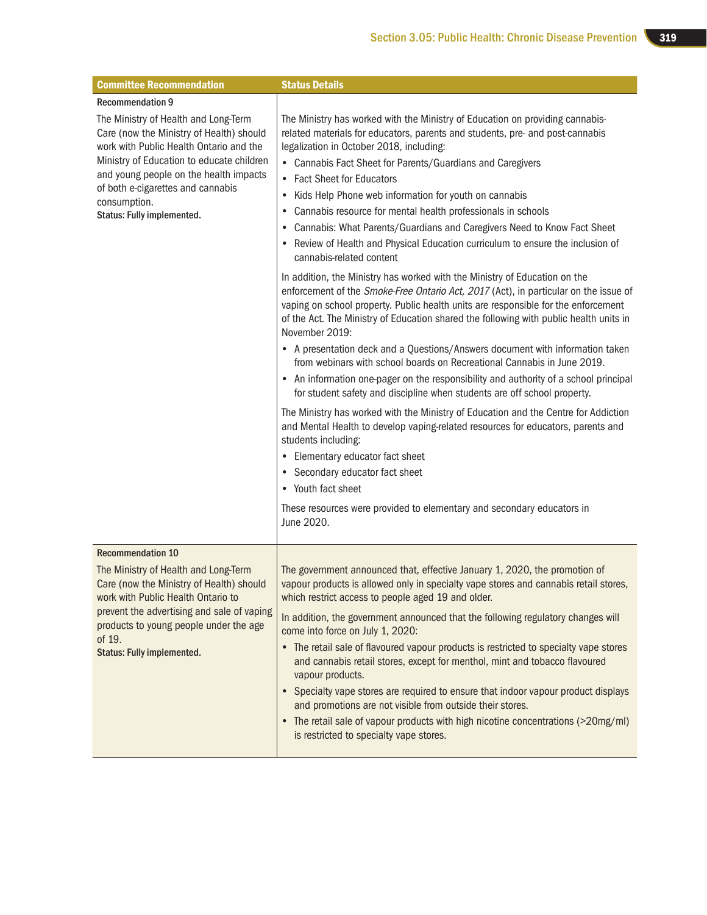| <b>Committee Recommendation</b>                                                                                                                                                                                                                                                                       | <b>Status Details</b>                                                                                                                                                                                                                                                                                                                                                                                                                                                                                                                                                                                                                                                                                                                                                                                                                                                                                                                                                                                                                                                                     |
|-------------------------------------------------------------------------------------------------------------------------------------------------------------------------------------------------------------------------------------------------------------------------------------------------------|-------------------------------------------------------------------------------------------------------------------------------------------------------------------------------------------------------------------------------------------------------------------------------------------------------------------------------------------------------------------------------------------------------------------------------------------------------------------------------------------------------------------------------------------------------------------------------------------------------------------------------------------------------------------------------------------------------------------------------------------------------------------------------------------------------------------------------------------------------------------------------------------------------------------------------------------------------------------------------------------------------------------------------------------------------------------------------------------|
| <b>Recommendation 9</b>                                                                                                                                                                                                                                                                               |                                                                                                                                                                                                                                                                                                                                                                                                                                                                                                                                                                                                                                                                                                                                                                                                                                                                                                                                                                                                                                                                                           |
| The Ministry of Health and Long-Term<br>Care (now the Ministry of Health) should<br>work with Public Health Ontario and the<br>Ministry of Education to educate children<br>and young people on the health impacts<br>of both e-cigarettes and cannabis<br>consumption.<br>Status: Fully implemented. | The Ministry has worked with the Ministry of Education on providing cannabis-<br>related materials for educators, parents and students, pre- and post-cannabis<br>legalization in October 2018, including:<br>• Cannabis Fact Sheet for Parents/Guardians and Caregivers<br>• Fact Sheet for Educators<br>Kids Help Phone web information for youth on cannabis<br>$\bullet$<br>Cannabis resource for mental health professionals in schools<br>Cannabis: What Parents/Guardians and Caregivers Need to Know Fact Sheet<br>٠<br>Review of Health and Physical Education curriculum to ensure the inclusion of<br>cannabis-related content                                                                                                                                                                                                                                                                                                                                                                                                                                                 |
|                                                                                                                                                                                                                                                                                                       | In addition, the Ministry has worked with the Ministry of Education on the<br>enforcement of the Smoke-Free Ontario Act, 2017 (Act), in particular on the issue of<br>vaping on school property. Public health units are responsible for the enforcement<br>of the Act. The Ministry of Education shared the following with public health units in<br>November 2019:<br>• A presentation deck and a Questions/Answers document with information taken<br>from webinars with school boards on Recreational Cannabis in June 2019.<br>• An information one-pager on the responsibility and authority of a school principal<br>for student safety and discipline when students are off school property.<br>The Ministry has worked with the Ministry of Education and the Centre for Addiction<br>and Mental Health to develop vaping-related resources for educators, parents and<br>students including:<br>• Elementary educator fact sheet<br>Secondary educator fact sheet<br>• Youth fact sheet<br>These resources were provided to elementary and secondary educators in<br>June 2020. |
|                                                                                                                                                                                                                                                                                                       |                                                                                                                                                                                                                                                                                                                                                                                                                                                                                                                                                                                                                                                                                                                                                                                                                                                                                                                                                                                                                                                                                           |
| <b>Recommendation 10</b><br>The Ministry of Health and Long-Term<br>Care (now the Ministry of Health) should<br>work with Public Health Ontario to<br>prevent the advertising and sale of vaping<br>products to young people under the age<br>of 19.<br><b>Status: Fully implemented.</b>             | The government announced that, effective January 1, 2020, the promotion of<br>vapour products is allowed only in specialty vape stores and cannabis retail stores,<br>which restrict access to people aged 19 and older.<br>In addition, the government announced that the following regulatory changes will<br>come into force on July 1, 2020:<br>• The retail sale of flavoured vapour products is restricted to specialty vape stores<br>and cannabis retail stores, except for menthol, mint and tobacco flavoured<br>vapour products.<br>• Specialty vape stores are required to ensure that indoor vapour product displays<br>and promotions are not visible from outside their stores.<br>• The retail sale of vapour products with high nicotine concentrations (>20mg/ml)<br>is restricted to specialty vape stores.                                                                                                                                                                                                                                                            |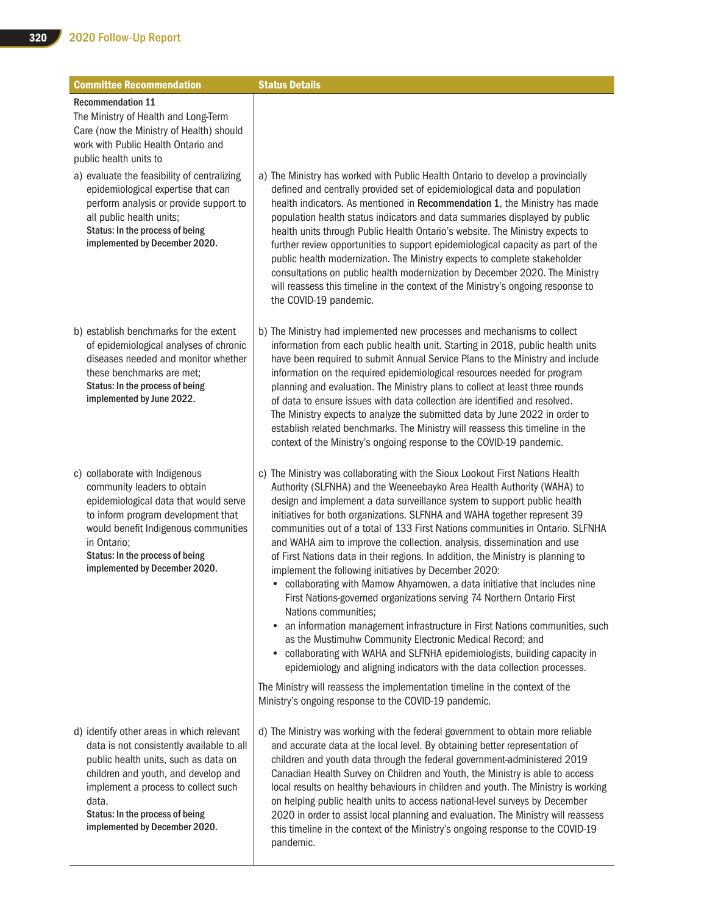| <b>Committee Recommendation</b>                                                                                                                                                                                                                                                           | <b>Status Details</b>                                                                                                                                                                                                                                                                                                                                                                                                                                                                                                                                                                                                                                                                                                                                                                                                                                                                                                                                                                                                                                                                                                                                                                              |
|-------------------------------------------------------------------------------------------------------------------------------------------------------------------------------------------------------------------------------------------------------------------------------------------|----------------------------------------------------------------------------------------------------------------------------------------------------------------------------------------------------------------------------------------------------------------------------------------------------------------------------------------------------------------------------------------------------------------------------------------------------------------------------------------------------------------------------------------------------------------------------------------------------------------------------------------------------------------------------------------------------------------------------------------------------------------------------------------------------------------------------------------------------------------------------------------------------------------------------------------------------------------------------------------------------------------------------------------------------------------------------------------------------------------------------------------------------------------------------------------------------|
| <b>Recommendation 11</b><br>The Ministry of Health and Long-Term<br>Care (now the Ministry of Health) should<br>work with Public Health Ontario and<br>public health units to                                                                                                             |                                                                                                                                                                                                                                                                                                                                                                                                                                                                                                                                                                                                                                                                                                                                                                                                                                                                                                                                                                                                                                                                                                                                                                                                    |
| a) evaluate the feasibility of centralizing<br>epidemiological expertise that can<br>perform analysis or provide support to<br>all public health units;<br>Status: In the process of being<br>implemented by December 2020.                                                               | a) The Ministry has worked with Public Health Ontario to develop a provincially<br>defined and centrally provided set of epidemiological data and population<br>health indicators. As mentioned in Recommendation 1, the Ministry has made<br>population health status indicators and data summaries displayed by public<br>health units through Public Health Ontario's website. The Ministry expects to<br>further review opportunities to support epidemiological capacity as part of the<br>public health modernization. The Ministry expects to complete stakeholder<br>consultations on public health modernization by December 2020. The Ministry<br>will reassess this timeline in the context of the Ministry's ongoing response to<br>the COVID-19 pandemic.                                                                                                                                                                                                                                                                                                                                                                                                                             |
| b) establish benchmarks for the extent<br>of epidemiological analyses of chronic<br>diseases needed and monitor whether<br>these benchmarks are met;<br>Status: In the process of being<br>implemented by June 2022.                                                                      | b) The Ministry had implemented new processes and mechanisms to collect<br>information from each public health unit. Starting in 2018, public health units<br>have been required to submit Annual Service Plans to the Ministry and include<br>information on the required epidemiological resources needed for program<br>planning and evaluation. The Ministry plans to collect at least three rounds<br>of data to ensure issues with data collection are identified and resolved.<br>The Ministry expects to analyze the submitted data by June 2022 in order to<br>establish related benchmarks. The Ministry will reassess this timeline in the<br>context of the Ministry's ongoing response to the COVID-19 pandemic.                                                                                                                                                                                                                                                                                                                                                                                                                                                                      |
| c) collaborate with Indigenous<br>community leaders to obtain<br>epidemiological data that would serve<br>to inform program development that<br>would benefit Indigenous communities<br>in Ontario;<br>Status: In the process of being<br>implemented by December 2020.                   | c) The Ministry was collaborating with the Sioux Lookout First Nations Health<br>Authority (SLFNHA) and the Weeneebayko Area Health Authority (WAHA) to<br>design and implement a data surveillance system to support public health<br>initiatives for both organizations. SLFNHA and WAHA together represent 39<br>communities out of a total of 133 First Nations communities in Ontario. SLFNHA<br>and WAHA aim to improve the collection, analysis, dissemination and use<br>of First Nations data in their regions. In addition, the Ministry is planning to<br>implement the following initiatives by December 2020:<br>• collaborating with Mamow Ahyamowen, a data initiative that includes nine<br>First Nations-governed organizations serving 74 Northern Ontario First<br>Nations communities;<br>• an information management infrastructure in First Nations communities, such<br>as the Mustimuhw Community Electronic Medical Record; and<br>• collaborating with WAHA and SLFNHA epidemiologists, building capacity in<br>epidemiology and aligning indicators with the data collection processes.<br>The Ministry will reassess the implementation timeline in the context of the |
| d) identify other areas in which relevant<br>data is not consistently available to all<br>public health units, such as data on<br>children and youth, and develop and<br>implement a process to collect such<br>data.<br>Status: In the process of being<br>implemented by December 2020. | Ministry's ongoing response to the COVID-19 pandemic.<br>d) The Ministry was working with the federal government to obtain more reliable<br>and accurate data at the local level. By obtaining better representation of<br>children and youth data through the federal government-administered 2019<br>Canadian Health Survey on Children and Youth, the Ministry is able to access<br>local results on healthy behaviours in children and youth. The Ministry is working<br>on helping public health units to access national-level surveys by December<br>2020 in order to assist local planning and evaluation. The Ministry will reassess<br>this timeline in the context of the Ministry's ongoing response to the COVID-19<br>pandemic.                                                                                                                                                                                                                                                                                                                                                                                                                                                      |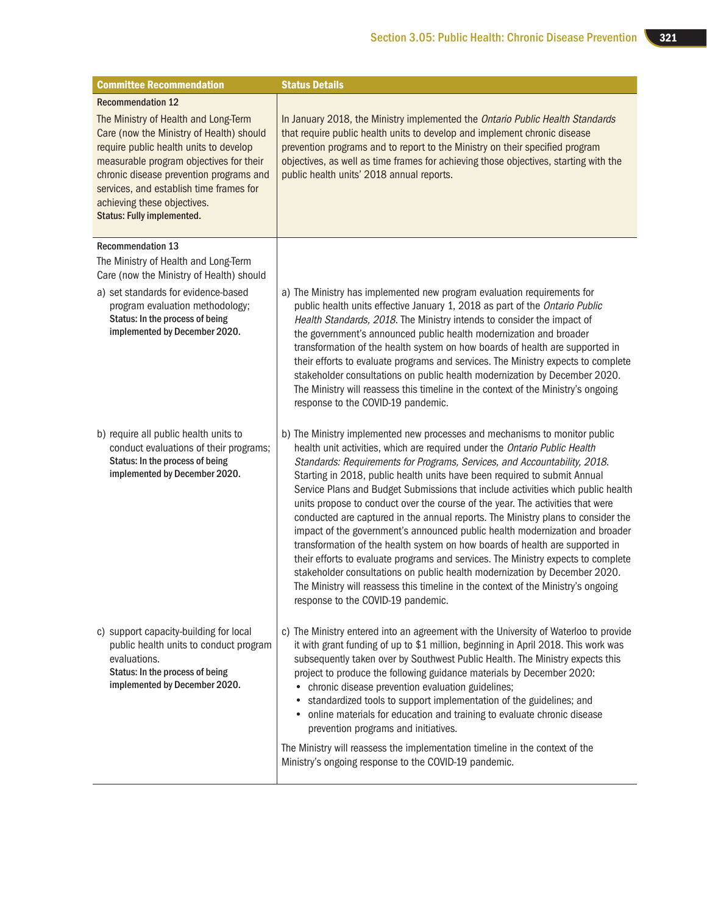| <b>Committee Recommendation</b>                                                                                                                                                                                                                                                                                                                             | <b>Status Details</b>                                                                                                                                                                                                                                                                                                                                                                                                                                                                                                                                                                                                                                                                                                                                                                                                                                                                                                                                                                                                                      |
|-------------------------------------------------------------------------------------------------------------------------------------------------------------------------------------------------------------------------------------------------------------------------------------------------------------------------------------------------------------|--------------------------------------------------------------------------------------------------------------------------------------------------------------------------------------------------------------------------------------------------------------------------------------------------------------------------------------------------------------------------------------------------------------------------------------------------------------------------------------------------------------------------------------------------------------------------------------------------------------------------------------------------------------------------------------------------------------------------------------------------------------------------------------------------------------------------------------------------------------------------------------------------------------------------------------------------------------------------------------------------------------------------------------------|
| <b>Recommendation 12</b><br>The Ministry of Health and Long-Term<br>Care (now the Ministry of Health) should<br>require public health units to develop<br>measurable program objectives for their<br>chronic disease prevention programs and<br>services, and establish time frames for<br>achieving these objectives.<br><b>Status: Fully implemented.</b> | In January 2018, the Ministry implemented the Ontario Public Health Standards<br>that require public health units to develop and implement chronic disease<br>prevention programs and to report to the Ministry on their specified program<br>objectives, as well as time frames for achieving those objectives, starting with the<br>public health units' 2018 annual reports.                                                                                                                                                                                                                                                                                                                                                                                                                                                                                                                                                                                                                                                            |
| <b>Recommendation 13</b><br>The Ministry of Health and Long-Term<br>Care (now the Ministry of Health) should<br>a) set standards for evidence-based<br>program evaluation methodology;<br>Status: In the process of being<br>implemented by December 2020.                                                                                                  | a) The Ministry has implemented new program evaluation requirements for<br>public health units effective January 1, 2018 as part of the Ontario Public<br>Health Standards, 2018. The Ministry intends to consider the impact of<br>the government's announced public health modernization and broader<br>transformation of the health system on how boards of health are supported in<br>their efforts to evaluate programs and services. The Ministry expects to complete<br>stakeholder consultations on public health modernization by December 2020.<br>The Ministry will reassess this timeline in the context of the Ministry's ongoing<br>response to the COVID-19 pandemic.                                                                                                                                                                                                                                                                                                                                                       |
| b) require all public health units to<br>conduct evaluations of their programs;<br>Status: In the process of being<br>implemented by December 2020.                                                                                                                                                                                                         | b) The Ministry implemented new processes and mechanisms to monitor public<br>health unit activities, which are required under the Ontario Public Health<br>Standards: Requirements for Programs, Services, and Accountability, 2018.<br>Starting in 2018, public health units have been required to submit Annual<br>Service Plans and Budget Submissions that include activities which public health<br>units propose to conduct over the course of the year. The activities that were<br>conducted are captured in the annual reports. The Ministry plans to consider the<br>impact of the government's announced public health modernization and broader<br>transformation of the health system on how boards of health are supported in<br>their efforts to evaluate programs and services. The Ministry expects to complete<br>stakeholder consultations on public health modernization by December 2020.<br>The Ministry will reassess this timeline in the context of the Ministry's ongoing<br>response to the COVID-19 pandemic. |
| c) support capacity-building for local<br>public health units to conduct program<br>evaluations.<br>Status: In the process of being<br>implemented by December 2020.                                                                                                                                                                                        | c) The Ministry entered into an agreement with the University of Waterloo to provide<br>it with grant funding of up to \$1 million, beginning in April 2018. This work was<br>subsequently taken over by Southwest Public Health. The Ministry expects this<br>project to produce the following guidance materials by December 2020:<br>chronic disease prevention evaluation guidelines;<br>standardized tools to support implementation of the guidelines; and<br>online materials for education and training to evaluate chronic disease<br>٠<br>prevention programs and initiatives.<br>The Ministry will reassess the implementation timeline in the context of the<br>Ministry's ongoing response to the COVID-19 pandemic.                                                                                                                                                                                                                                                                                                          |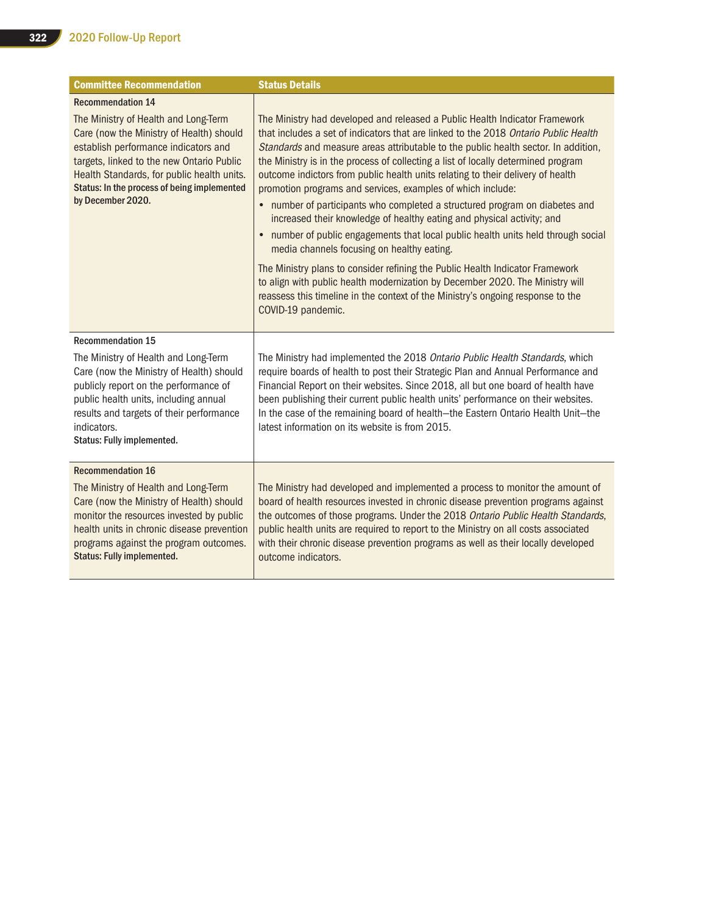| <b>Committee Recommendation</b>                                                                                                                                                                                                                                                         | <b>Status Details</b>                                                                                                                                                                                                                                                                                                                                                                                                                                                                                                                                                                                                                                                                                                                                                                     |  |  |
|-----------------------------------------------------------------------------------------------------------------------------------------------------------------------------------------------------------------------------------------------------------------------------------------|-------------------------------------------------------------------------------------------------------------------------------------------------------------------------------------------------------------------------------------------------------------------------------------------------------------------------------------------------------------------------------------------------------------------------------------------------------------------------------------------------------------------------------------------------------------------------------------------------------------------------------------------------------------------------------------------------------------------------------------------------------------------------------------------|--|--|
| <b>Recommendation 14</b>                                                                                                                                                                                                                                                                |                                                                                                                                                                                                                                                                                                                                                                                                                                                                                                                                                                                                                                                                                                                                                                                           |  |  |
| The Ministry of Health and Long-Term<br>Care (now the Ministry of Health) should<br>establish performance indicators and<br>targets, linked to the new Ontario Public<br>Health Standards, for public health units.<br>Status: In the process of being implemented<br>by December 2020. | The Ministry had developed and released a Public Health Indicator Framework<br>that includes a set of indicators that are linked to the 2018 Ontario Public Health<br>Standards and measure areas attributable to the public health sector. In addition,<br>the Ministry is in the process of collecting a list of locally determined program<br>outcome indictors from public health units relating to their delivery of health<br>promotion programs and services, examples of which include:<br>• number of participants who completed a structured program on diabetes and<br>increased their knowledge of healthy eating and physical activity; and<br>number of public engagements that local public health units held through social<br>media channels focusing on healthy eating. |  |  |
|                                                                                                                                                                                                                                                                                         | The Ministry plans to consider refining the Public Health Indicator Framework<br>to align with public health modernization by December 2020. The Ministry will<br>reassess this timeline in the context of the Ministry's ongoing response to the<br>COVID-19 pandemic.                                                                                                                                                                                                                                                                                                                                                                                                                                                                                                                   |  |  |
| <b>Recommendation 15</b>                                                                                                                                                                                                                                                                |                                                                                                                                                                                                                                                                                                                                                                                                                                                                                                                                                                                                                                                                                                                                                                                           |  |  |
| The Ministry of Health and Long-Term<br>Care (now the Ministry of Health) should<br>publicly report on the performance of<br>public health units, including annual<br>results and targets of their performance<br>indicators.<br>Status: Fully implemented.                             | The Ministry had implemented the 2018 Ontario Public Health Standards, which<br>require boards of health to post their Strategic Plan and Annual Performance and<br>Financial Report on their websites. Since 2018, all but one board of health have<br>been publishing their current public health units' performance on their websites.<br>In the case of the remaining board of health-the Eastern Ontario Health Unit-the<br>latest information on its website is from 2015.                                                                                                                                                                                                                                                                                                          |  |  |
| <b>Recommendation 16</b>                                                                                                                                                                                                                                                                |                                                                                                                                                                                                                                                                                                                                                                                                                                                                                                                                                                                                                                                                                                                                                                                           |  |  |
| The Ministry of Health and Long-Term<br>Care (now the Ministry of Health) should<br>monitor the resources invested by public<br>health units in chronic disease prevention<br>programs against the program outcomes.<br><b>Status: Fully implemented.</b>                               | The Ministry had developed and implemented a process to monitor the amount of<br>board of health resources invested in chronic disease prevention programs against<br>the outcomes of those programs. Under the 2018 Ontario Public Health Standards,<br>public health units are required to report to the Ministry on all costs associated<br>with their chronic disease prevention programs as well as their locally developed<br>outcome indicators.                                                                                                                                                                                                                                                                                                                                   |  |  |